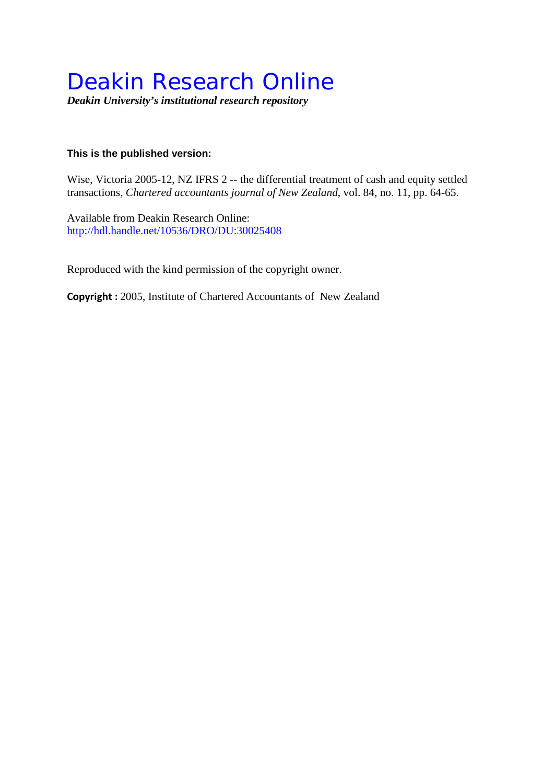## Deakin Research Online

*Deakin University's institutional research repository*

### **This is the published version:**

Wise, Victoria 2005-12, NZ IFRS 2 -- the differential treatment of cash and equity settled transactions*, Chartered accountants journal of New Zealand*, vol. 84, no. 11, pp. 64-65.

Available from Deakin Research Online: <http://hdl.handle.net/10536/DRO/DU:30025408>

Reproduced with the kind permission of the copyright owner.

**Copyright :** 2005, Institute of Chartered Accountants of New Zealand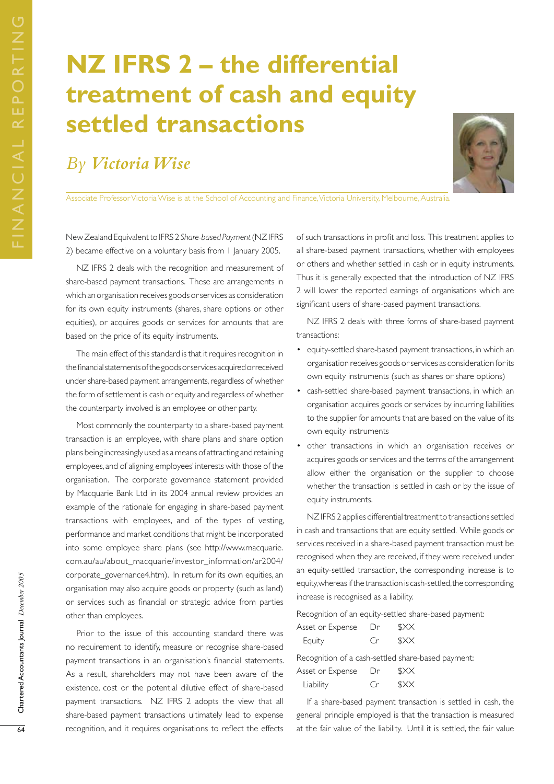# **NZ IFRS 2 – the differential treatment of cash and equity settled transactions**

### *By Victoria Wise*



Associate Professor Victoria Wise is at the School of Accounting and Finance, Victoria University, Melbourne, Australia.

New Zealand Equivalent to IFRS 2 *Share-based Payment* (NZ IFRS 2) became effective on a voluntary basis from 1 January 2005.

NZ IFRS 2 deals with the recognition and measurement of share-based payment transactions. These are arrangements in which an organisation receives goods or services as consideration for its own equity instruments (shares, share options or other equities), or acquires goods or services for amounts that are based on the price of its equity instruments.

The main effect of this standard is that it requires recognition in the financial statements of the goods or services acquired or received under share-based payment arrangements, regardless of whether the form of settlement is cash or equity and regardless of whether the counterparty involved is an employee or other party.

Most commonly the counterparty to a share-based payment transaction is an employee, with share plans and share option plans being increasingly used as a means of attracting and retaining employees, and of aligning employees' interests with those of the organisation. The corporate governance statement provided by Macquarie Bank Ltd in its 2004 annual review provides an example of the rationale for engaging in share-based payment transactions with employees, and of the types of vesting, performance and market conditions that might be incorporated into some employee share plans (see http://www.macquarie. com.au/au/about\_macquarie/investor\_information/ar2004/ corporate\_governance4.htm). In return for its own equities, an organisation may also acquire goods or property (such as land) or services such as financial or strategic advice from parties other than employees.

Prior to the issue of this accounting standard there was no requirement to identify, measure or recognise share-based payment transactions in an organisation's financial statements. As a result, shareholders may not have been aware of the existence, cost or the potential dilutive effect of share-based payment transactions. NZ IFRS 2 adopts the view that all share-based payment transactions ultimately lead to expense recognition, and it requires organisations to reflect the effects

of such transactions in profit and loss. This treatment applies to all share-based payment transactions, whether with employees or others and whether settled in cash or in equity instruments. Thus it is generally expected that the introduction of NZ IFRS 2 will lower the reported earnings of organisations which are significant users of share-based payment transactions.

NZ IFRS 2 deals with three forms of share-based payment transactions:

- equity-settled share-based payment transactions, in which an organisation receives goods or services as consideration for its own equity instruments (such as shares or share options)
- cash-settled share-based payment transactions, in which an organisation acquires goods or services by incurring liabilities to the supplier for amounts that are based on the value of its own equity instruments
- other transactions in which an organisation receives or acquires goods or services and the terms of the arrangement allow either the organisation or the supplier to choose whether the transaction is settled in cash or by the issue of equity instruments.

NZ IFRS 2 applies differential treatment to transactions settled in cash and transactions that are equity settled. While goods or services received in a share-based payment transaction must be recognised when they are received, if they were received under an equity-settled transaction, the corresponding increase is to equity, whereas if the transaction is cash-settled, the corresponding increase is recognised as a liability.

Recognition of an equity-settled share-based payment:

| Asset or Expense Dr                  |     | \$XX |
|--------------------------------------|-----|------|
| Equity                               | Cr. | \$XX |
| Desegrable a sf a scale settled also |     |      |

Recognition of a cash-settled share-based payment:

| Asset or Expense | Dr | \$XX |
|------------------|----|------|
| Liability        | Cr | \$XX |

If a share-based payment transaction is settled in cash, the general principle employed is that the transaction is measured at the fair value of the liability. Until it is settled, the fair value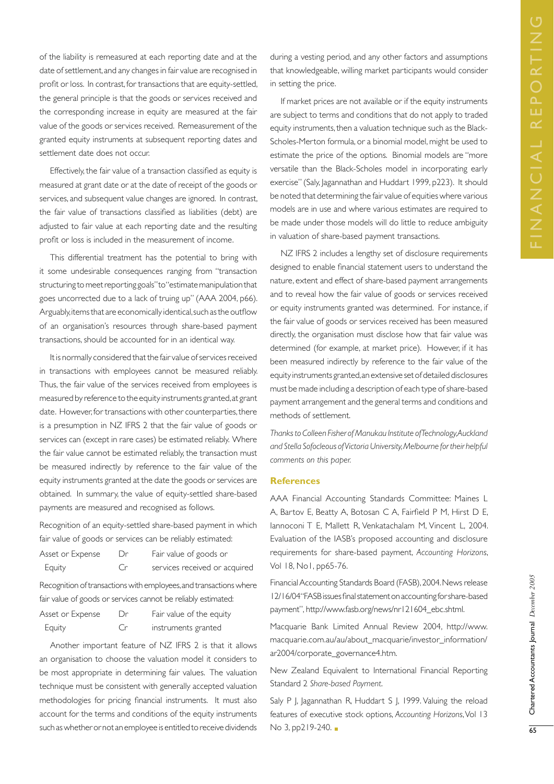of the liability is remeasured at each reporting date and at the date of settlement, and any changes in fair value are recognised in profit or loss. In contrast, for transactions that are equity-settled, the general principle is that the goods or services received and the corresponding increase in equity are measured at the fair value of the goods or services received. Remeasurement of the granted equity instruments at subsequent reporting dates and settlement date does not occur.

Effectively, the fair value of a transaction classified as equity is measured at grant date or at the date of receipt of the goods or services, and subsequent value changes are ignored. In contrast, the fair value of transactions classified as liabilities (debt) are adjusted to fair value at each reporting date and the resulting profit or loss is included in the measurement of income.

This differential treatment has the potential to bring with it some undesirable consequences ranging from "transaction structuring to meet reporting goals" to "estimate manipulation that goes uncorrected due to a lack of truing up" (AAA 2004, p66). Arguably, items that are economically identical, such as the outflow of an organisation's resources through share-based payment transactions, should be accounted for in an identical way.

It is normally considered that the fair value of services received in transactions with employees cannot be measured reliably. Thus, the fair value of the services received from employees is measured by reference to the equity instruments granted, at grant date. However, for transactions with other counterparties, there is a presumption in NZ IFRS 2 that the fair value of goods or services can (except in rare cases) be estimated reliably. Where the fair value cannot be estimated reliably, the transaction must be measured indirectly by reference to the fair value of the equity instruments granted at the date the goods or services are obtained. In summary, the value of equity-settled share-based payments are measured and recognised as follows.

Recognition of an equity-settled share-based payment in which fair value of goods or services can be reliably estimated:

| Asset or Expense | Dr | Fair value of goods or        |
|------------------|----|-------------------------------|
| Equity           | Cr | services received or acquired |

Recognition of transactions with employees, and transactions where fair value of goods or services cannot be reliably estimated:

| Asset or Expense | Dr | Fair value of the equity |
|------------------|----|--------------------------|
| Equity           | Cr | instruments granted      |

Another important feature of NZ IFRS 2 is that it allows an organisation to choose the valuation model it considers to be most appropriate in determining fair values. The valuation technique must be consistent with generally accepted valuation methodologies for pricing financial instruments. It must also account for the terms and conditions of the equity instruments such as whether or not an employee is entitled to receive dividends

during a vesting period, and any other factors and assumptions that knowledgeable, willing market participants would consider in setting the price.

If market prices are not available or if the equity instruments are subject to terms and conditions that do not apply to traded equity instruments, then a valuation technique such as the Black-Scholes-Merton formula, or a binomial model, might be used to estimate the price of the options. Binomial models are "more versatile than the Black-Scholes model in incorporating early exercise" (Saly, Jagannathan and Huddart 1999, p223). It should be noted that determining the fair value of equities where various models are in use and where various estimates are required to be made under those models will do little to reduce ambiguity in valuation of share-based payment transactions.

NZ IFRS 2 includes a lengthy set of disclosure requirements designed to enable financial statement users to understand the nature, extent and effect of share-based payment arrangements and to reveal how the fair value of goods or services received or equity instruments granted was determined. For instance, if the fair value of goods or services received has been measured directly, the organisation must disclose how that fair value was determined (for example, at market price). However, if it has been measured indirectly by reference to the fair value of the equity instruments granted, an extensive set of detailed disclosures must be made including a description of each type of share-based payment arrangement and the general terms and conditions and methods of settlement.

*Thanks to Colleen Fisher of Manukau Institute of Technology, Auckland and Stella Sofocleous of Victoria University, Melbourne for their helpful comments on this paper.*

#### **References**

AAA Financial Accounting Standards Committee: Maines L A, Bartov E, Beatty A, Botosan C A, Fairfield P M, Hirst D E, Iannoconi T E, Mallett R, Venkatachalam M, Vincent L, 2004. Evaluation of the IASB's proposed accounting and disclosure requirements for share-based payment, *Accounting Horizons*, Vol 18, No1, pp65-76.

Financial Accounting Standards Board (FASB), 2004. News release 12/16/04 "FASB issues final statement on accounting for share-based payment", http://www.fasb.org/news/nr121604\_ebc.shtml.

Macquarie Bank Limited Annual Review 2004, http://www. macquarie.com.au/au/about\_macquarie/investor\_information/ ar2004/corporate\_governance4.htm.

New Zealand Equivalent to International Financial Reporting Standard 2 *Share-based Payment*.

Saly P J, Jagannathan R, Huddart S J, 1999. Valuing the reload features of executive stock options, *Accounting Horizons*, Vol 13 No 3, pp219-240.